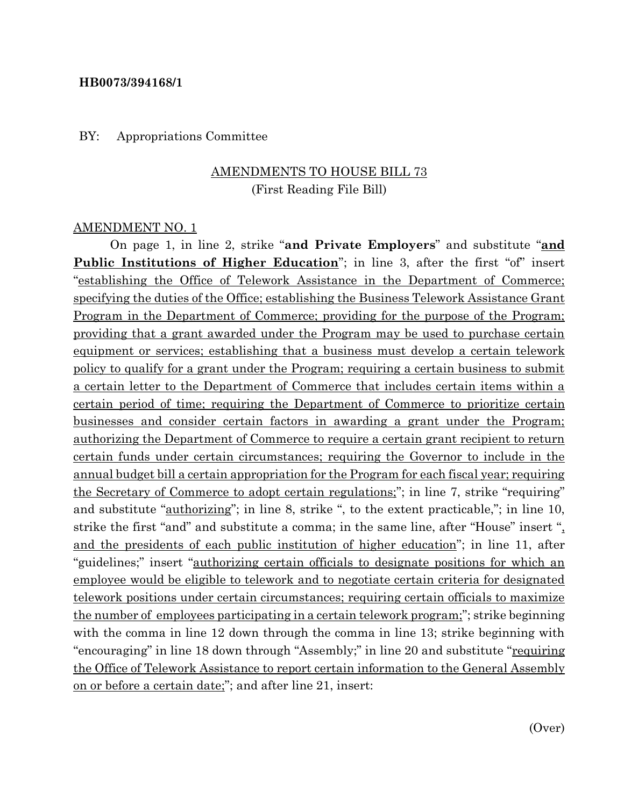#### **HB0073/394168/1**

#### BY: Appropriations Committee

### AMENDMENTS TO HOUSE BILL 73 (First Reading File Bill)

#### AMENDMENT NO. 1

On page 1, in line 2, strike "**and Private Employers**" and substitute "**and Public Institutions of Higher Education**"; in line 3, after the first "of" insert "establishing the Office of Telework Assistance in the Department of Commerce; specifying the duties of the Office; establishing the Business Telework Assistance Grant Program in the Department of Commerce; providing for the purpose of the Program; providing that a grant awarded under the Program may be used to purchase certain equipment or services; establishing that a business must develop a certain telework policy to qualify for a grant under the Program; requiring a certain business to submit a certain letter to the Department of Commerce that includes certain items within a certain period of time; requiring the Department of Commerce to prioritize certain businesses and consider certain factors in awarding a grant under the Program; authorizing the Department of Commerce to require a certain grant recipient to return certain funds under certain circumstances; requiring the Governor to include in the annual budget bill a certain appropriation for the Program for each fiscal year; requiring the Secretary of Commerce to adopt certain regulations;"; in line 7, strike "requiring" and substitute "authorizing"; in line 8, strike ", to the extent practicable,"; in line 10, strike the first "and" and substitute a comma; in the same line, after "House" insert ", and the presidents of each public institution of higher education"; in line 11, after "guidelines;" insert "authorizing certain officials to designate positions for which an employee would be eligible to telework and to negotiate certain criteria for designated telework positions under certain circumstances; requiring certain officials to maximize the number of employees participating in a certain telework program;"; strike beginning with the comma in line 12 down through the comma in line 13; strike beginning with "encouraging" in line 18 down through "Assembly;" in line 20 and substitute "requiring" the Office of Telework Assistance to report certain information to the General Assembly on or before a certain date;"; and after line 21, insert: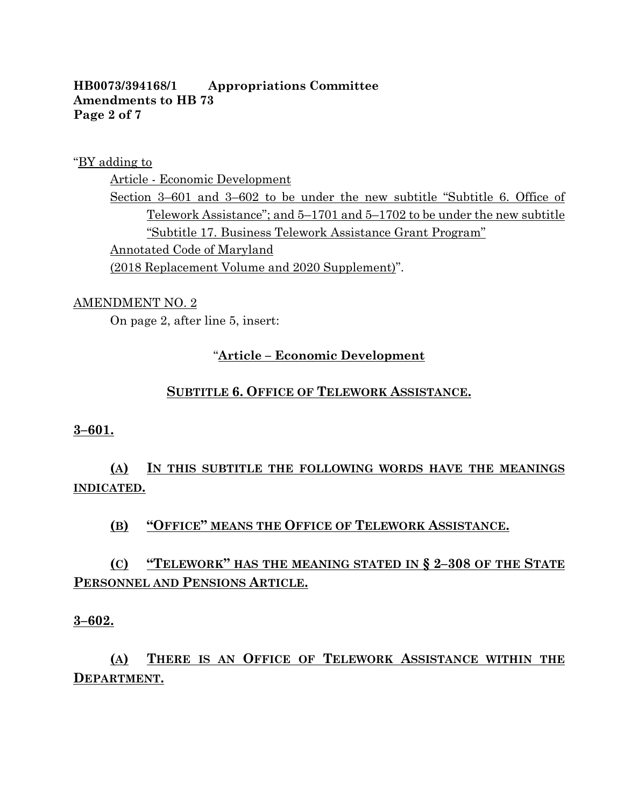#### **HB0073/394168/1 Appropriations Committee Amendments to HB 73 Page 2 of 7**

"BY adding to

Article - Economic Development

Section 3–601 and 3–602 to be under the new subtitle "Subtitle 6. Office of Telework Assistance"; and 5–1701 and 5–1702 to be under the new subtitle "Subtitle 17. Business Telework Assistance Grant Program" Annotated Code of Maryland (2018 Replacement Volume and 2020 Supplement)".

#### AMENDMENT NO. 2

On page 2, after line 5, insert:

### "**Article – Economic Development**

#### **SUBTITLE 6. OFFICE OF TELEWORK ASSISTANCE.**

#### **3–601.**

## **(A) IN THIS SUBTITLE THE FOLLOWING WORDS HAVE THE MEANINGS INDICATED.**

### **(B) "OFFICE" MEANS THE OFFICE OF TELEWORK ASSISTANCE.**

### **(C) "TELEWORK" HAS THE MEANING STATED IN § 2–308 OF THE STATE PERSONNEL AND PENSIONS ARTICLE.**

#### **3–602.**

# **(A) THERE IS AN OFFICE OF TELEWORK ASSISTANCE WITHIN THE DEPARTMENT.**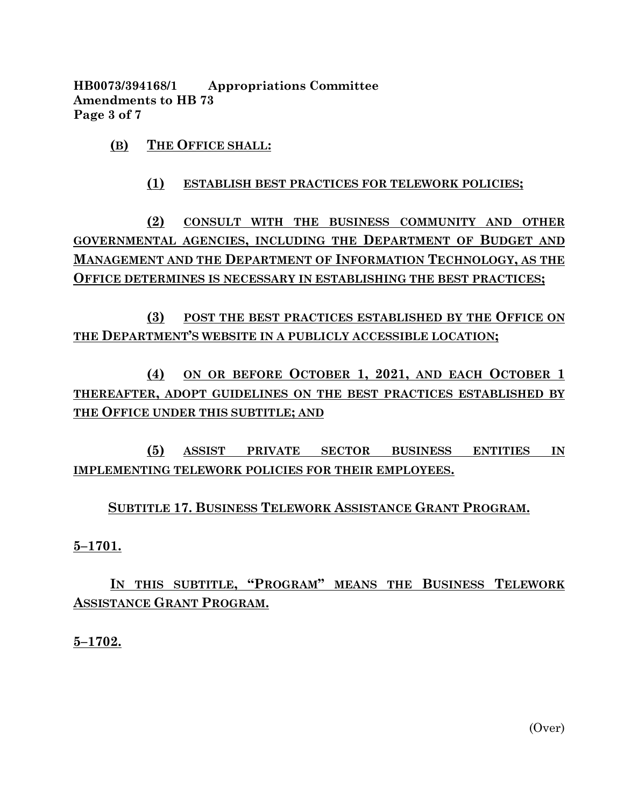**HB0073/394168/1 Appropriations Committee Amendments to HB 73 Page 3 of 7**

**(B) THE OFFICE SHALL:**

#### **(1) ESTABLISH BEST PRACTICES FOR TELEWORK POLICIES;**

**(2) CONSULT WITH THE BUSINESS COMMUNITY AND OTHER GOVERNMENTAL AGENCIES, INCLUDING THE DEPARTMENT OF BUDGET AND MANAGEMENT AND THE DEPARTMENT OF INFORMATION TECHNOLOGY, AS THE OFFICE DETERMINES IS NECESSARY IN ESTABLISHING THE BEST PRACTICES;**

**(3) POST THE BEST PRACTICES ESTABLISHED BY THE OFFICE ON THE DEPARTMENT'S WEBSITE IN A PUBLICLY ACCESSIBLE LOCATION;**

**(4) ON OR BEFORE OCTOBER 1, 2021, AND EACH OCTOBER 1 THEREAFTER, ADOPT GUIDELINES ON THE BEST PRACTICES ESTABLISHED BY THE OFFICE UNDER THIS SUBTITLE; AND** 

**(5) ASSIST PRIVATE SECTOR BUSINESS ENTITIES IN IMPLEMENTING TELEWORK POLICIES FOR THEIR EMPLOYEES.**

#### **SUBTITLE 17. BUSINESS TELEWORK ASSISTANCE GRANT PROGRAM.**

**5–1701.**

## **IN THIS SUBTITLE, "PROGRAM" MEANS THE BUSINESS TELEWORK ASSISTANCE GRANT PROGRAM.**

**5–1702.**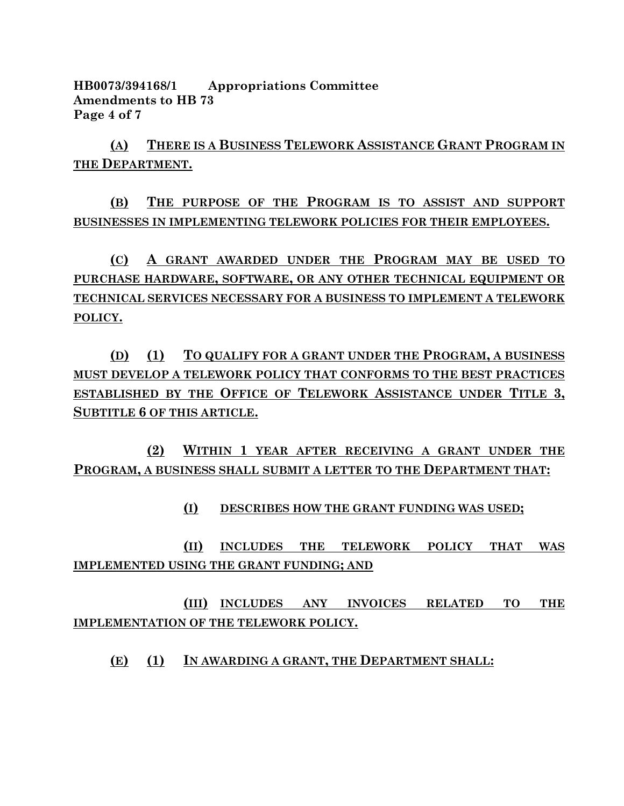**HB0073/394168/1 Appropriations Committee Amendments to HB 73 Page 4 of 7**

**(A) THERE IS A BUSINESS TELEWORK ASSISTANCE GRANT PROGRAM IN THE DEPARTMENT.**

**(B) THE PURPOSE OF THE PROGRAM IS TO ASSIST AND SUPPORT BUSINESSES IN IMPLEMENTING TELEWORK POLICIES FOR THEIR EMPLOYEES.**

**(C) A GRANT AWARDED UNDER THE PROGRAM MAY BE USED TO PURCHASE HARDWARE, SOFTWARE, OR ANY OTHER TECHNICAL EQUIPMENT OR TECHNICAL SERVICES NECESSARY FOR A BUSINESS TO IMPLEMENT A TELEWORK POLICY.**

**(D) (1) TO QUALIFY FOR A GRANT UNDER THE PROGRAM, A BUSINESS MUST DEVELOP A TELEWORK POLICY THAT CONFORMS TO THE BEST PRACTICES ESTABLISHED BY THE OFFICE OF TELEWORK ASSISTANCE UNDER TITLE 3, SUBTITLE 6 OF THIS ARTICLE.**

**(2) WITHIN 1 YEAR AFTER RECEIVING A GRANT UNDER THE PROGRAM, A BUSINESS SHALL SUBMIT A LETTER TO THE DEPARTMENT THAT:**

**(I) DESCRIBES HOW THE GRANT FUNDING WAS USED;**

**(II) INCLUDES THE TELEWORK POLICY THAT WAS IMPLEMENTED USING THE GRANT FUNDING; AND** 

**(III) INCLUDES ANY INVOICES RELATED TO THE IMPLEMENTATION OF THE TELEWORK POLICY.**

**(E) (1) IN AWARDING A GRANT, THE DEPARTMENT SHALL:**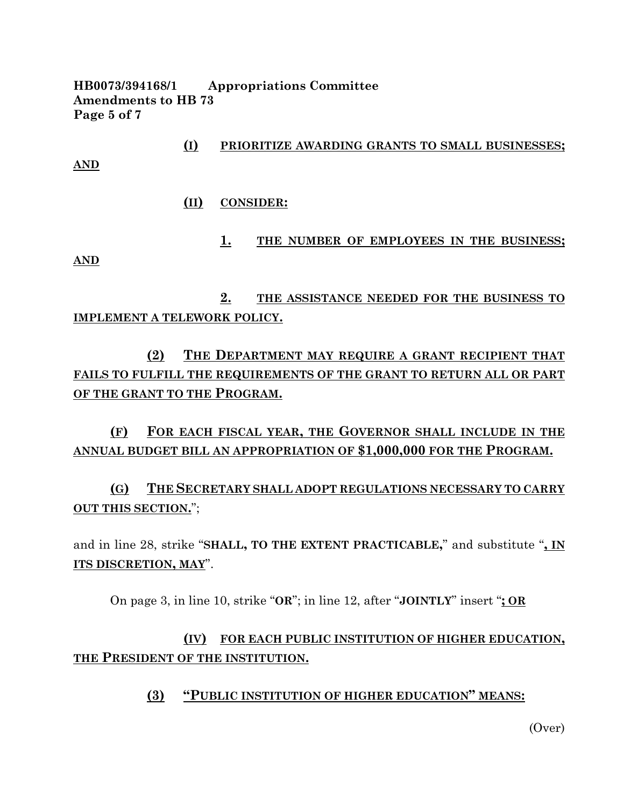**HB0073/394168/1 Appropriations Committee Amendments to HB 73 Page 5 of 7**

**(I) PRIORITIZE AWARDING GRANTS TO SMALL BUSINESSES; AND**

**(II) CONSIDER:**

**AND**

**1. THE NUMBER OF EMPLOYEES IN THE BUSINESS;**

**2. THE ASSISTANCE NEEDED FOR THE BUSINESS TO IMPLEMENT A TELEWORK POLICY.**

**(2) THE DEPARTMENT MAY REQUIRE A GRANT RECIPIENT THAT FAILS TO FULFILL THE REQUIREMENTS OF THE GRANT TO RETURN ALL OR PART OF THE GRANT TO THE PROGRAM.**

**(F) FOR EACH FISCAL YEAR, THE GOVERNOR SHALL INCLUDE IN THE ANNUAL BUDGET BILL AN APPROPRIATION OF \$1,000,000 FOR THE PROGRAM.**

**(G) THE SECRETARY SHALL ADOPT REGULATIONS NECESSARY TO CARRY OUT THIS SECTION.**";

and in line 28, strike "**SHALL, TO THE EXTENT PRACTICABLE,**" and substitute "**, IN ITS DISCRETION, MAY**".

On page 3, in line 10, strike "**OR**"; in line 12, after "**JOINTLY**" insert "**; OR**

**(IV) FOR EACH PUBLIC INSTITUTION OF HIGHER EDUCATION, THE PRESIDENT OF THE INSTITUTION.**

**(3) "PUBLIC INSTITUTION OF HIGHER EDUCATION" MEANS:**

(Over)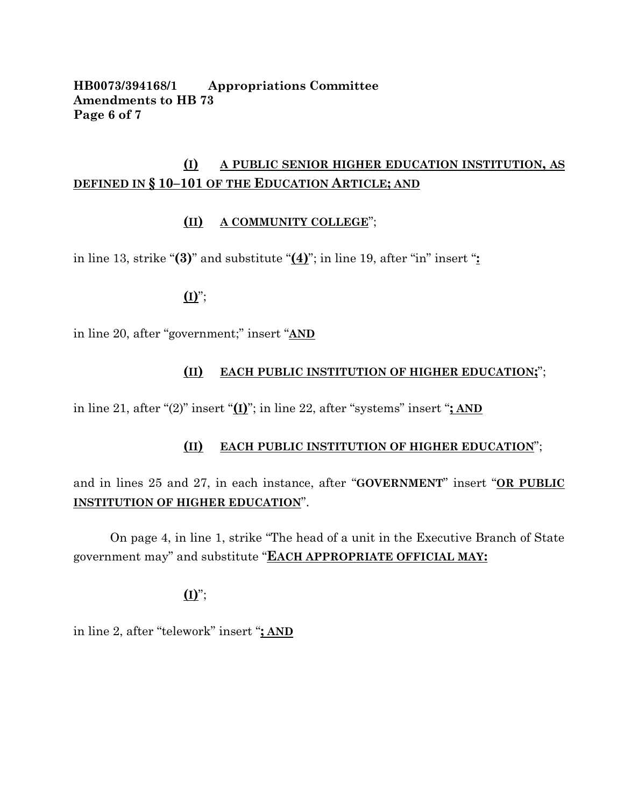#### **HB0073/394168/1 Appropriations Committee Amendments to HB 73 Page 6 of 7**

### **(I) A PUBLIC SENIOR HIGHER EDUCATION INSTITUTION, AS DEFINED IN § 10–101 OF THE EDUCATION ARTICLE; AND**

### **(II) A COMMUNITY COLLEGE**";

in line 13, strike "**(3)**" and substitute "**(4)**"; in line 19, after "in" insert "**:**

### **(I)**";

in line 20, after "government;" insert "**AND** 

#### **(II) EACH PUBLIC INSTITUTION OF HIGHER EDUCATION;**";

in line 21, after "(2)" insert "**(I)**"; in line 22, after "systems" insert "**; AND** 

#### **(II) EACH PUBLIC INSTITUTION OF HIGHER EDUCATION**";

and in lines 25 and 27, in each instance, after "**GOVERNMENT**" insert "**OR PUBLIC INSTITUTION OF HIGHER EDUCATION**".

On page 4, in line 1, strike "The head of a unit in the Executive Branch of State government may" and substitute "**EACH APPROPRIATE OFFICIAL MAY:**

**(I)**";

in line 2, after "telework" insert "**; AND**